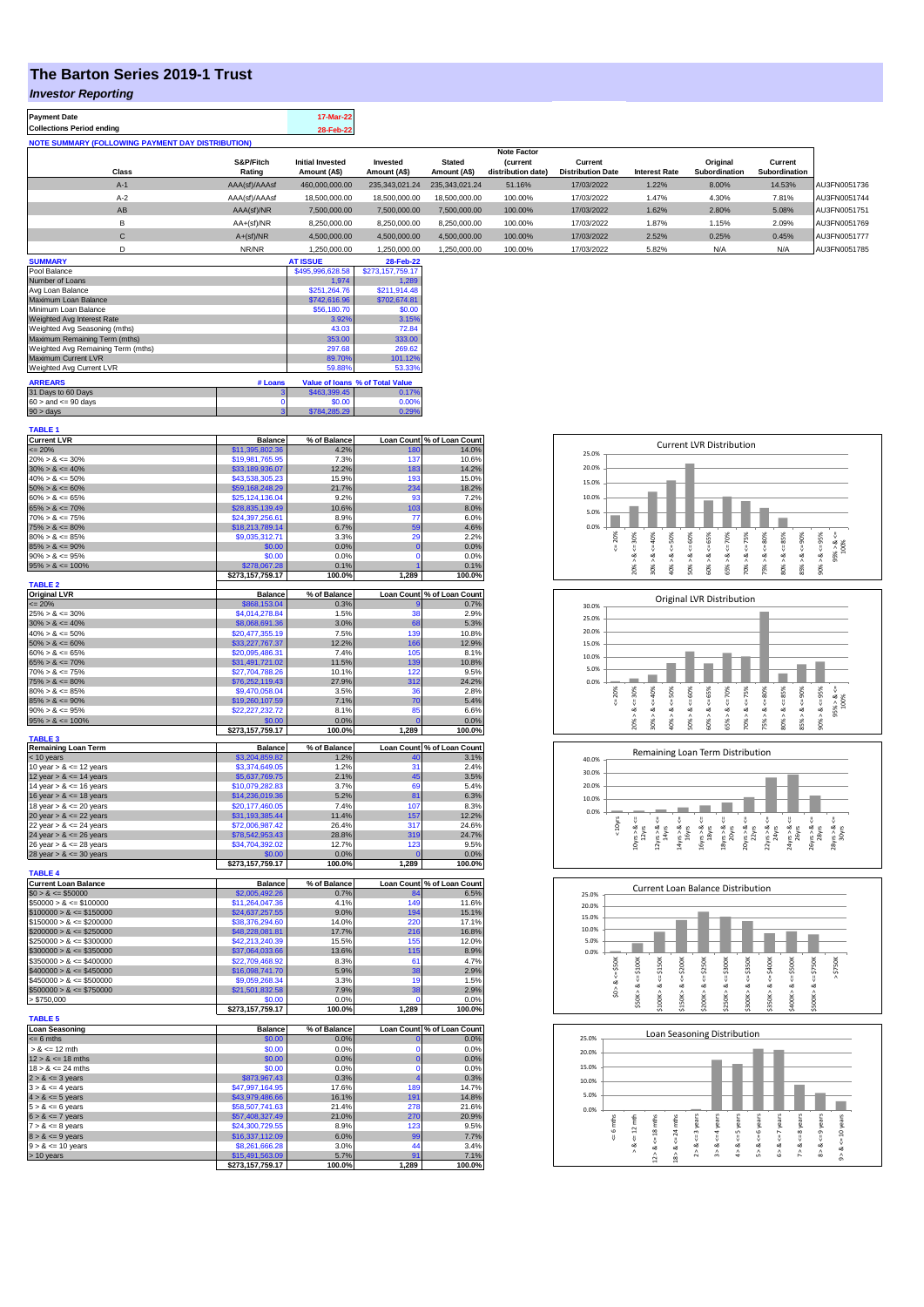## **The Barton Series 2019-1 Trust**

## *Investor Reporting*

| <b>Payment Date</b>                                      | 17-Mar-22 |
|----------------------------------------------------------|-----------|
| <b>Collections Period ending</b>                         | 28-Feb-22 |
| <b>NOTE SUMMARY (FOLLOWING PAYMENT DAY DISTRIBUTION)</b> |           |
|                                                          |           |

|              |               |                         |                |                | <b>Note Factor</b> |                          |                      |               |               |              |
|--------------|---------------|-------------------------|----------------|----------------|--------------------|--------------------------|----------------------|---------------|---------------|--------------|
|              | S&P/Fitch     | <b>Initial Invested</b> | Invested       | <b>Stated</b>  | <b>(current</b>    | Current                  |                      | Original      | Current       |              |
| <b>Class</b> | Rating        | Amount (A\$)            | Amount (A\$)   | Amount (A\$)   | distribution date) | <b>Distribution Date</b> | <b>Interest Rate</b> | Subordination | Subordination |              |
| $A-1$        | AAA(sf)/AAAsf | 460,000,000.00          | 235,343,021.24 | 235.343.021.24 | 51.16%             | 17/03/2022               | 1.22%                | 8.00%         | 14.53%        | AU3FN0051736 |
| $A-2$        | AAA(sf)/AAAsf | 18,500,000,00           | 18,500,000,00  | 18,500,000,00  | 100.00%            | 17/03/2022               | 1.47%                | 4.30%         | 7.81%         | AU3FN0051744 |
| AB           | AAA(sf)/NR    | 7.500.000.00            | 7.500.000.00   | 7.500.000.00   | 100.00%            | 17/03/2022               | 1.62%                | 2.80%         | 5.08%         | AU3FN0051751 |
| B            | $AA+(sf)/NR$  | 8,250,000.00            | 8,250,000.00   | 8.250.000.00   | 100.00%            | 17/03/2022               | 1.87%                | 1.15%         | 2.09%         | AU3FN0051769 |
| $\sim$<br>◡  | $A+(sf)/NR$   | 4,500,000.00            | 4.500.000.00   | 4,500,000.00   | 100.00%            | 17/03/2022               | 2.52%                | 0.25%         | 0.45%         | AU3FN0051777 |
|              | NR/NR         | 1.250.000.00            | 1.250.000.00   | 1.250.000.00   | 100.00%            | 17/03/2022               | 5.82%                | N/A           | N/A           | AU3FN0051785 |

| <b>SUMMARY</b>                     |         | <b>AT ISSUE</b>  | 28-Feb-22                       |
|------------------------------------|---------|------------------|---------------------------------|
| Pool Balance                       |         | \$495,996,628.58 | \$273,157,759.17                |
| Number of Loans                    |         | 1.974            | 1.289                           |
| Avg Loan Balance                   |         | \$251.264.76     | \$211.914.48                    |
| Maximum Loan Balance               |         | \$742,616.96     | \$702,674.81                    |
| Minimum Loan Balance               |         | \$56,180.70      | \$0.00                          |
| Weighted Avg Interest Rate         |         | 3.92%            | 3.15%                           |
| Weighted Avg Seasoning (mths)      |         | 43.03            | 72.84                           |
| Maximum Remaining Term (mths)      |         | 353.00           | 333.00                          |
| Weighted Avg Remaining Term (mths) |         | 297.68           | 269.62                          |
| Maximum Current LVR                |         | 89.70%           | 101.12%                         |
| Weighted Avg Current LVR           |         | 59.88%           | 53.33%                          |
| <b>ARREARS</b>                     | # Loans |                  | Value of Ioans % of Total Value |
| 31 Days to 60 Days                 | 3       | \$463,399.45     | 0.17%                           |
| $60 >$ and $\leq 90$ days          |         | \$0.00           | 0.00%                           |
| $90 > \text{days}$                 | 3       | \$784.285.29     | 0.29%                           |

| <b>TABLE 1</b>                                                                                                                                                                                                                                                  |                                     |                |                   |                            |
|-----------------------------------------------------------------------------------------------------------------------------------------------------------------------------------------------------------------------------------------------------------------|-------------------------------------|----------------|-------------------|----------------------------|
| Current LVR<br>$\leq$ 20%<br>20% > & $\leq$ 30%<br>30% > & $\leq$ 40%<br>40% > & $\leq$ 50%                                                                                                                                                                     | <b>Balance</b>                      | % of Balance   |                   | Loan Count % of Loan Count |
|                                                                                                                                                                                                                                                                 | \$11,395,802.36                     | 4.2%           | 180               | 14.0%                      |
|                                                                                                                                                                                                                                                                 | \$19,981,765.95                     | 7.3%           | 137               | 10.6%                      |
|                                                                                                                                                                                                                                                                 | \$33,189,936.07<br>\$43,538,305.23  | 12.2%<br>15.9% | 183<br>193        | 14.2%<br>15.0%             |
| $50\% > 8 \le 60\%$                                                                                                                                                                                                                                             | \$59,168,248.29                     | 21.7%          | 234               | 18.2%                      |
| $60\% > 8 \le 65\%$                                                                                                                                                                                                                                             | \$25,124,136.04                     | 9.2%           | <b>Q3</b>         | 7.2%                       |
| $65\% > 8 \le 70\%$                                                                                                                                                                                                                                             | \$28,835,139.49                     | 10.6%          | 103               | 8.0%                       |
| $70\% > 8 \le 75\%$                                                                                                                                                                                                                                             | \$24,397,256.61                     | 8.9%           | 77                | 6.0%                       |
| $75\% > 8 \le 80\%$                                                                                                                                                                                                                                             | \$18,213,789.14                     | 6.7%           | 59                | 4.6%                       |
| $80\% > 8 \le 85\%$                                                                                                                                                                                                                                             | \$9,035,312.71                      | 3.3%           | 29                | 2.2%                       |
| $85\% > 8 \le 90\%$                                                                                                                                                                                                                                             | \$0.00                              | 0.0%           | $\overline{0}$    | 0.0%                       |
| $90\% > 8 \le 95\%$                                                                                                                                                                                                                                             | \$0.00                              | 0.0%           | 0                 | 0.0%                       |
| $95\% > 8 \le 100\%$                                                                                                                                                                                                                                            | \$278,067.28                        | 0.1%           |                   | 0.1%                       |
|                                                                                                                                                                                                                                                                 | \$273,157,759.17                    | 100.0%         | 1,289             | 100.0%                     |
| <b>TABLE 2</b>                                                                                                                                                                                                                                                  | <b>Balance</b>                      | % of Balance   |                   | Loan Count % of Loan Count |
| Original LVR<br>$\leq$ 20%<br>25% > & $\leq$ 30%                                                                                                                                                                                                                | \$868,153.04                        | 0.3%           |                   | 0.7%                       |
|                                                                                                                                                                                                                                                                 | \$4,014,278.84                      | 1.5%           | 38                | 2.9%                       |
|                                                                                                                                                                                                                                                                 | \$8,068,691.36                      | 3.0%           | 68                | 5.3%                       |
| $30\% > 8 \le 40\%$<br>$40\% > 8 \le 50\%$                                                                                                                                                                                                                      | \$20,477,355.19                     | 7.5%           | 139               | 10.8%                      |
| $50\% > 8 \le 60\%$                                                                                                                                                                                                                                             | \$33,227,767.37                     | 12.2%          | 166               | 12.9%                      |
| $60\% > 8 \le 65\%$                                                                                                                                                                                                                                             | \$20,095,486.31                     | 7.4%           | 105               | 8.1%                       |
| $65\% > 8 \le 70\%$                                                                                                                                                                                                                                             | \$31,491,721.02                     | 11.5%          | 139               | 10.8%                      |
| $70\% > 8 \le 75\%$                                                                                                                                                                                                                                             | \$27,704,788.26                     | 10.1%          | 122               | 9.5%                       |
| $75\% > 8 \le 80\%$                                                                                                                                                                                                                                             | \$76,252,119.43                     | 27.9%          | 312               | 24.2%                      |
| $80\% > 8 \le 85\%$                                                                                                                                                                                                                                             | \$9,470,058.04                      | 3.5%           | 36                | 2.8%                       |
| $85\% > 8 \le 90\%$                                                                                                                                                                                                                                             | \$19,260,107.59                     | 7.1%           | 70                | 5.4%                       |
| $90\% > 8 \le 95\%$                                                                                                                                                                                                                                             | \$22,227,232.72                     | 8.1%           | 85                | 6.6%                       |
| $95\% > 8 \le 100\%$                                                                                                                                                                                                                                            | \$0.00                              | 0.0%<br>100.0% | 1,289             | 0.0%                       |
| <b>TABLE 3</b>                                                                                                                                                                                                                                                  | \$273,157,759.17                    |                |                   | 100.0%                     |
| Remaining Loan Term<br>$\leq 10$ years<br>$10$ year $> 8 \leq 12$ years                                                                                                                                                                                         | <b>Balance</b>                      | % of Balance   |                   | Loan Count % of Loan Count |
|                                                                                                                                                                                                                                                                 | \$3,204,859.82                      | 1.2%           |                   | 3.1%                       |
|                                                                                                                                                                                                                                                                 | \$3,374,649.05                      | 1.2%           | 31                | 2.4%                       |
| 12 year > $8 \le 14$ years<br>14 year > $8 \le 16$ years                                                                                                                                                                                                        | \$5,637,769.75                      | 2.1%           | 45                | 3.5%                       |
|                                                                                                                                                                                                                                                                 | \$10,079,282.83                     | 3.7%           | 69                | 5.4%                       |
| 16 year $> 8 \le 18$ years                                                                                                                                                                                                                                      | \$14,236,019.36                     | 5.2%           | 81                | 6.3%                       |
| 18 year $> 8 \le 20$ years                                                                                                                                                                                                                                      | \$20,177,460.05                     | 7.4%           | 107               | 8.3%                       |
| 20 year $> 8 < 22$ years                                                                                                                                                                                                                                        | \$31,193,385.44                     | 11.4%          | 157<br>317        | 12.2%<br>24.6%             |
| 22 year $> 8 \le 24$ years                                                                                                                                                                                                                                      | \$72,006,987.42<br>\$78,542,953.43  | 26.4%<br>28.8% | 319               | 24.7%                      |
| 24 year $> 8 < 26$ years<br>26 year $> 8 < 28$ years                                                                                                                                                                                                            | \$34,704,392.02                     | 12.7%          | 123               | 9.5%                       |
| 28 year $> 8 <$ = 30 years                                                                                                                                                                                                                                      | \$0.00                              | 0.0%           | $\overline{0}$    | 0.0%                       |
|                                                                                                                                                                                                                                                                 | \$273,157,759.17                    | 100.0%         | 1,289             | 100.0%                     |
| <b>TABLE 4</b>                                                                                                                                                                                                                                                  |                                     |                |                   |                            |
| <b>Current Loan Balance</b>                                                                                                                                                                                                                                     | <b>Balance</b>                      | % of Balance   | <b>Loan Count</b> | % of Loan Count            |
|                                                                                                                                                                                                                                                                 | \$2,005,492.26                      | 0.7%           | 84                | 6.5%                       |
|                                                                                                                                                                                                                                                                 | \$11,264,047.36                     | 4.1%           | 149               | 11.6%                      |
|                                                                                                                                                                                                                                                                 | \$24,637,257.55                     | 9.0%           | 194               | 15.1%                      |
|                                                                                                                                                                                                                                                                 | \$38,376,294.60                     | 14.0%          | 220               | 17.1%                      |
| Current Loan Balance<br>\$0000 > 8 <= \$50000<br>\$100000 > 8 <= \$150000<br>\$100000 > 8 <= \$150000<br>\$100000 > 8 <= \$200000<br>\$200000 > 8 <= \$250000<br>\$200000 > 8 <= \$250000<br>\$300000 > 8 <= \$350000<br>\$350000 > 8 <= \$400000<br>\$350000 > | \$48,228,081.81                     | 17.7%          | 216               | 16.8%                      |
|                                                                                                                                                                                                                                                                 | \$42,213,240.39                     | 15.5%          | 155               | 12.0%                      |
|                                                                                                                                                                                                                                                                 | \$37,064,033.66<br>\$22,709,468.92  | 13.6%<br>8.3%  | 115<br>61         | 8.9%<br>4.7%               |
| $$400000 > 8 \le $450000$                                                                                                                                                                                                                                       | \$16,098,741.70                     | 5.9%           | 38                | 2.9%                       |
| $$450000 > 8 \le $500000$                                                                                                                                                                                                                                       | \$9.059.268.34                      | 3.3%           | 19                | 1.5%                       |
| $$500000 > 8 \le $750000$                                                                                                                                                                                                                                       | \$21,501,832.58                     | 7.9%           | 38                | 2.9%                       |
| > \$750,000                                                                                                                                                                                                                                                     | \$0.00                              | 0.0%           |                   | 0.0%                       |
|                                                                                                                                                                                                                                                                 | \$273,157,759.17                    | 100.0%         | 1,289             | 100.0%                     |
| <b>TABLE 5</b>                                                                                                                                                                                                                                                  |                                     |                |                   |                            |
| <b>Loan Seasoning</b>                                                                                                                                                                                                                                           | <b>Balance</b>                      | % of Balance   |                   | Loan Count % of Loan Count |
| $\leq 6$ mths                                                                                                                                                                                                                                                   | \$0.00                              | 0.0%           | $\mathbf{0}$      | 0.0%                       |
| $> 8 \le 12$ mth                                                                                                                                                                                                                                                | \$0.00                              | 0.0%           | $\Omega$          | 0.0%                       |
| $12 > 8 \le 18$ mths                                                                                                                                                                                                                                            | \$0.00                              | 0.0%           | $\bf{0}$          | 0.0%                       |
| $18 > 8 \le 24$ mths                                                                                                                                                                                                                                            | \$0.00                              | 0.0%           | $\Omega$          | 0.0%                       |
|                                                                                                                                                                                                                                                                 | \$873,967.43<br>\$47,997,164.95     | 0.3%           | 4                 | 0.3%                       |
|                                                                                                                                                                                                                                                                 |                                     | 17.6%          | 189               | 14.7%<br>14.8%             |
|                                                                                                                                                                                                                                                                 |                                     |                |                   |                            |
|                                                                                                                                                                                                                                                                 | \$43,979,486.66                     | 16.1%          | 191               |                            |
|                                                                                                                                                                                                                                                                 | \$58,507,741.63                     | 21.4%          | 278               | 21.6%                      |
|                                                                                                                                                                                                                                                                 | \$57,408,327.49                     | 21.0%          | 270               | 20.9%                      |
|                                                                                                                                                                                                                                                                 | \$24,300,729.55                     | 8.9%           | 123<br>90         | 9.5%                       |
| $18 > 8 \le 24$ mth<br>$2 > 8 \le 3$ years<br>$3 > 8 \le 4$ years<br>$4 > 8 \le 5$ years<br>$5 > 8 \le 6$ years<br>$6 > 8 \le 7$ years<br>$7 > 8 \le 8$ years<br>$8 > 8 \le 9$ years<br>$8 > 8 \le 9$ years                                                     | \$16,337,112.09<br>\$8,261,666.28   | 6.0%<br>3.0%   | 44                | 7.7%<br>3.4%               |
| $9 > 8 \le 10$ years<br>$> 10$ years                                                                                                                                                                                                                            | \$15,491,563.09<br>\$273,157,759.17 | 5.7%<br>100.0% | 91<br>1,289       | 7.1%<br>100.0%             |









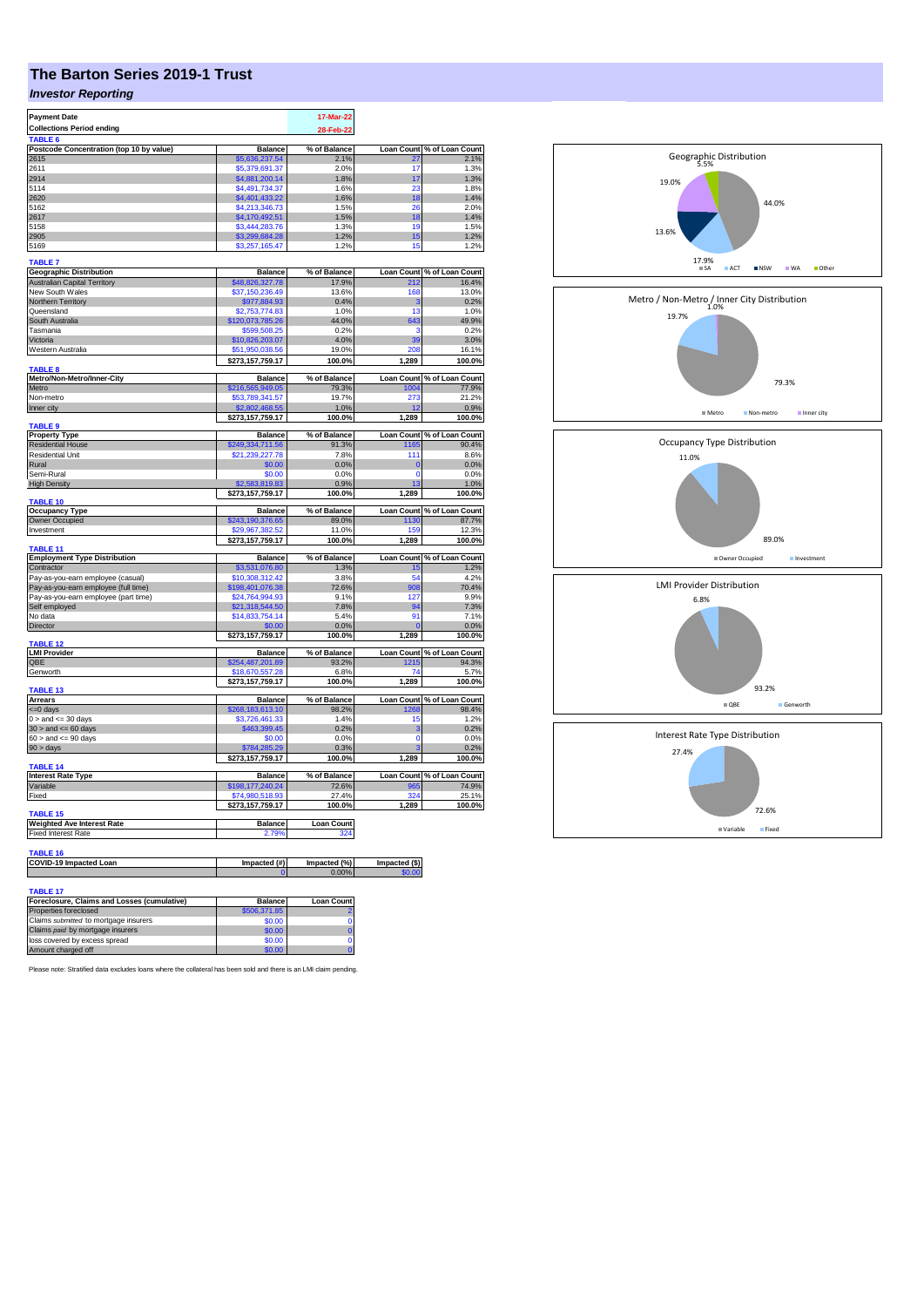## **The Barton Series 2019-1 Trust**

## *Investor Reporting*

| <b>Payment Date</b>                                     |                                                  | 17-Mar-22             |                         |                                                                                                                                                                                                                                                              |
|---------------------------------------------------------|--------------------------------------------------|-----------------------|-------------------------|--------------------------------------------------------------------------------------------------------------------------------------------------------------------------------------------------------------------------------------------------------------|
| <b>Collections Period ending</b>                        |                                                  | 28-Feb-22             |                         |                                                                                                                                                                                                                                                              |
| TABLE 6                                                 |                                                  |                       |                         |                                                                                                                                                                                                                                                              |
| Postcode Concentration (top 10 by value)                | <b>Balance</b>                                   | % of Balance          | <b>Loan Count</b>       | % of Loan Count                                                                                                                                                                                                                                              |
| 2615                                                    | \$5,636,237.54                                   | 2.1%                  | 27                      | 2.1%                                                                                                                                                                                                                                                         |
| 2611                                                    | \$5,379,691.37                                   | 2.0%                  | 17                      | 1.3%                                                                                                                                                                                                                                                         |
| 2914                                                    | \$4,881,200.14                                   | 1.8%                  | 17                      | 1.3%                                                                                                                                                                                                                                                         |
| 5114                                                    | \$4,491,734.37                                   | 1.6%                  | 23                      | 1.8%                                                                                                                                                                                                                                                         |
| 2620<br>5162                                            | \$4,401,433.22<br>\$4,213,346.73                 | 1.6%<br>1.5%          | 18<br>26                | 1.4%<br>2.0%                                                                                                                                                                                                                                                 |
| 2617                                                    | \$4,170,492.51                                   | 1.5%                  | 18                      | 1.4%                                                                                                                                                                                                                                                         |
| 5158                                                    | \$3,444,283.76                                   | 1.3%                  | 19                      | 1.5%                                                                                                                                                                                                                                                         |
| 2905                                                    | \$3,299,684.28                                   | 1.2%                  | 15                      | 1.2%                                                                                                                                                                                                                                                         |
| 5169                                                    | \$3,257,165.47                                   | 1.2%                  | 15                      | 1.2%                                                                                                                                                                                                                                                         |
|                                                         |                                                  |                       |                         |                                                                                                                                                                                                                                                              |
| <b>TABLE 7</b>                                          |                                                  |                       |                         |                                                                                                                                                                                                                                                              |
| <b>Geographic Distribution</b>                          | <b>Balance</b>                                   | % of Balance          |                         | Loan Count % of Loan Count                                                                                                                                                                                                                                   |
| Australian Capital Territory                            | \$48,826,327.78                                  | 17.9%                 | 212                     | 16.4%                                                                                                                                                                                                                                                        |
| New South Wales                                         | \$37,150,236.49                                  | 13.6%<br>0.4%         | 168<br>3                | 13.0%<br>0.2%                                                                                                                                                                                                                                                |
| Northern Territory<br>Queensland                        | \$977,884.93<br>\$2,753,774.83                   | 1.0%                  | 13                      | 1.0%                                                                                                                                                                                                                                                         |
| South Australia                                         | \$120,073,785.26                                 | 44.0%                 | 643                     | 49.9%                                                                                                                                                                                                                                                        |
| Tasmania                                                | \$599,508.25                                     | 0.2%                  | з                       | 0.2%                                                                                                                                                                                                                                                         |
| Victoria                                                | \$10,826,203.07                                  | 4.0%                  | 39                      | 3.0%                                                                                                                                                                                                                                                         |
| Western Australia                                       | \$51,950,038.56                                  | 19.0%                 | 208                     | 16.1%                                                                                                                                                                                                                                                        |
|                                                         | \$273,157,759.17                                 | 100.0%                | 1,289                   | 100.0%                                                                                                                                                                                                                                                       |
| <b>TABLE 8</b>                                          |                                                  |                       |                         |                                                                                                                                                                                                                                                              |
| Metro/Non-Metro/Inner-City                              | <b>Balance</b>                                   | % of Balance          |                         | Loan Count % of Loan Count                                                                                                                                                                                                                                   |
| Metro                                                   | \$216,565,949.05                                 | 79.3%                 | 1004                    | 77.9%                                                                                                                                                                                                                                                        |
| Non-metro                                               | \$53,789,341.57                                  | 19.7%                 | 273                     | 21.2%                                                                                                                                                                                                                                                        |
| Inner city                                              | \$2,802,468.55                                   | 1.0%                  |                         | 0.9%                                                                                                                                                                                                                                                         |
|                                                         | \$273,157,759.17                                 | 100.0%                | 1,289                   | 100.0%                                                                                                                                                                                                                                                       |
| <b>TABLE 9</b>                                          |                                                  |                       |                         |                                                                                                                                                                                                                                                              |
| <b>Property Type</b><br><b>Residential House</b>        | Balance                                          | % of Balance<br>91.3% | 1165                    | Loan Count % of Loan Count<br>90.4%                                                                                                                                                                                                                          |
| Residential Unit                                        | 249,334,711.56 <mark>,</mark><br>\$21,239,227.78 | 7.8%                  | 111                     | 8.6%                                                                                                                                                                                                                                                         |
| Rural                                                   | \$0.00                                           | 0.0%                  | $\mathbf{0}$            | 0.0%                                                                                                                                                                                                                                                         |
| Semi-Rural                                              | \$0.00                                           | 0.0%                  | $\Omega$                | 0.0%                                                                                                                                                                                                                                                         |
| <b>High Density</b>                                     | \$2,583,819.83                                   | 0.9%                  | 13                      | 1.0%                                                                                                                                                                                                                                                         |
|                                                         | \$273,157,759.17                                 | 100.0%                | 1,289                   | 100.0%                                                                                                                                                                                                                                                       |
| <b>TABLE 10</b>                                         |                                                  |                       |                         |                                                                                                                                                                                                                                                              |
|                                                         |                                                  |                       |                         |                                                                                                                                                                                                                                                              |
| <b>Occupancy Type</b>                                   | <b>Balance</b>                                   | % of Balance          | <b>Loan Count</b>       |                                                                                                                                                                                                                                                              |
| Owner Occupied                                          | \$243,190,376.65                                 | 89.0%                 | 1130                    |                                                                                                                                                                                                                                                              |
| Investment                                              | :29.967.382.52                                   | 11.0%                 | 159                     |                                                                                                                                                                                                                                                              |
|                                                         | \$273,157,759.17                                 | 100.0%                | 1,289                   |                                                                                                                                                                                                                                                              |
| TABLE 11                                                |                                                  |                       |                         |                                                                                                                                                                                                                                                              |
| <b>Employment Type Distribution</b>                     | <b>Balance</b>                                   | % of Balance          |                         |                                                                                                                                                                                                                                                              |
| Contractor                                              | \$3,531,076.80                                   | 1.3%                  | 15                      |                                                                                                                                                                                                                                                              |
| Pay-as-you-earn employee (casual)                       | \$10,308,312.42                                  | 3.8%                  | 54                      |                                                                                                                                                                                                                                                              |
| Pay-as-you-earn employee (full time)                    | \$198,401,076.38                                 | 72.6%                 | 908                     |                                                                                                                                                                                                                                                              |
| Pay-as-you-earn employee (part time)                    | \$24,764,994.93                                  | 9.1%                  | 127                     |                                                                                                                                                                                                                                                              |
| Self employed<br>No data                                | \$21,318,544.50                                  | 7.8%                  | 94                      |                                                                                                                                                                                                                                                              |
|                                                         | \$14,833,754.14<br>\$0.00                        | 5.4%                  | 91                      |                                                                                                                                                                                                                                                              |
| Director                                                |                                                  | 0.0%<br>100.0%        |                         |                                                                                                                                                                                                                                                              |
| <b>TABLE 12</b>                                         | \$273,157,759.17                                 |                       | 1,289                   |                                                                                                                                                                                                                                                              |
| <b>LMI Provider</b>                                     | <b>Balance</b>                                   | % of Balance          |                         |                                                                                                                                                                                                                                                              |
| OBE                                                     | \$254,487,201.89                                 | 93.2%                 | 1215                    |                                                                                                                                                                                                                                                              |
| Genworth                                                | \$18,670,557.28                                  | 6.8%                  | 74                      |                                                                                                                                                                                                                                                              |
|                                                         | \$273,157,759.17                                 | 100.0%                | 1,289                   |                                                                                                                                                                                                                                                              |
| TABLE 13                                                |                                                  |                       |                         |                                                                                                                                                                                                                                                              |
| <b>Arrears</b>                                          | Balance                                          | % of Balance          |                         |                                                                                                                                                                                                                                                              |
| <= 0 days                                               | \$268,183,613.10                                 | 98.2%<br>1.4%         | 1268                    |                                                                                                                                                                                                                                                              |
| $0 >$ and $\lt = 30$ days                               | \$3,726,461.33                                   |                       | 15<br>3                 |                                                                                                                                                                                                                                                              |
| $30 >$ and $\leq 60$ days                               | \$463,399.45                                     | 0.2%                  | $\Omega$                | % of Loan Count<br>87.7%<br>12.3%<br>100.0%<br>Loan Count % of Loan Count<br>1.2%<br>4.2%<br>70.4%<br>9.9%<br>7.3%<br>7.1%<br>0.0%<br>100.0%<br>Loan Count % of Loan Count<br>94.3%<br>5.7%<br>100.0%<br>Loan Count % of Loan Count<br>98.4%<br>1.2%<br>0.2% |
| $60 >$ and $\leq 90$ days                               | \$0.00                                           | 0.0%                  | 3                       |                                                                                                                                                                                                                                                              |
| $90 > \text{days}$                                      | \$784,285.29<br>\$273,157,759.17                 | 0.3%<br>100.0%        | 1,289                   |                                                                                                                                                                                                                                                              |
| TABLE 14                                                |                                                  |                       |                         |                                                                                                                                                                                                                                                              |
| <b>Interest Rate Type</b>                               | <b>Balance</b>                                   | % of Balance          |                         | 0.0%<br>0.2%<br>100.0%<br>Loan Count % of Loan Count                                                                                                                                                                                                         |
| Variable                                                | \$198,177,240.24                                 | 72.6%                 | 965                     | 74.9%                                                                                                                                                                                                                                                        |
| Fixed                                                   | \$74,980,518.93                                  | 27.4%                 | 324                     |                                                                                                                                                                                                                                                              |
|                                                         | \$273,157,759.17                                 | 100.0%                | 1,289                   | 25.1%<br>100.0%                                                                                                                                                                                                                                              |
| <b>TABLE 15</b>                                         |                                                  |                       |                         |                                                                                                                                                                                                                                                              |
| <b>Weighted Ave Interest Rate</b>                       | Balance                                          | <b>Loan Count</b>     |                         |                                                                                                                                                                                                                                                              |
| <b>Fixed Interest Rate</b>                              | 2.79%                                            | 324                   |                         |                                                                                                                                                                                                                                                              |
|                                                         |                                                  |                       |                         |                                                                                                                                                                                                                                                              |
| TABLE 16                                                |                                                  |                       |                         |                                                                                                                                                                                                                                                              |
| <b>COVID-19 Impacted Loan</b>                           | Impacted (#)<br>$\Omega$                         | Impacted (%)<br>0.00% | Impacted (\$)<br>\$0.00 |                                                                                                                                                                                                                                                              |
|                                                         |                                                  |                       |                         |                                                                                                                                                                                                                                                              |
| TABLE 17<br>Foreclosure, Claims and Losses (cumulative) |                                                  | <b>Loan Count</b>     |                         |                                                                                                                                                                                                                                                              |

| (Foreclosure, Claims and Losses (cumulative | <b>Balance</b> | Loan Count |
|---------------------------------------------|----------------|------------|
| Properties foreclosed                       | \$506,371.85   |            |
| Claims submitted to mortgage insurers       | \$0.00         |            |
| Claims paid by mortgage insurers            | \$0.00         |            |
| loss covered by excess spread               | \$0.00         |            |
| Amount charged off                          | \$0.00         |            |

Please note: Stratified data excludes loans where the collateral has been sold and there is an LMI claim pending.